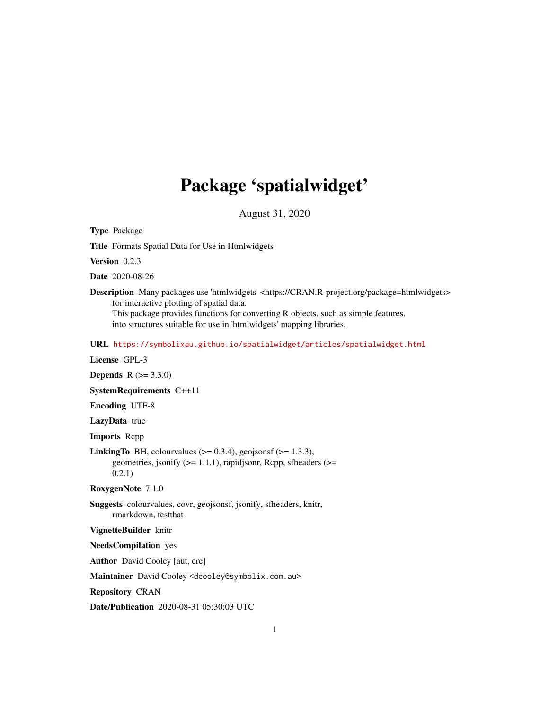# Package 'spatialwidget'

August 31, 2020

Type Package

Title Formats Spatial Data for Use in Htmlwidgets

Version 0.2.3

Date 2020-08-26

Description Many packages use 'htmlwidgets' <https://CRAN.R-project.org/package=htmlwidgets> for interactive plotting of spatial data. This package provides functions for converting R objects, such as simple features, into structures suitable for use in 'htmlwidgets' mapping libraries.

URL <https://symbolixau.github.io/spatialwidget/articles/spatialwidget.html>

License GPL-3

**Depends** R  $(>= 3.3.0)$ 

SystemRequirements C++11

Encoding UTF-8

LazyData true

Imports Rcpp

**LinkingTo** BH, colourvalues  $(>= 0.3.4)$ , geojsonsf  $(>= 1.3.3)$ , geometries, jsonify  $(>= 1.1.1)$ , rapidjsonr, Rcpp, sfheaders  $(>=$ 0.2.1)

RoxygenNote 7.1.0

Suggests colourvalues, covr, geojsonsf, jsonify, sfheaders, knitr, rmarkdown, testthat

VignetteBuilder knitr

NeedsCompilation yes

Author David Cooley [aut, cre]

Maintainer David Cooley <dcooley@symbolix.com.au>

Repository CRAN

Date/Publication 2020-08-31 05:30:03 UTC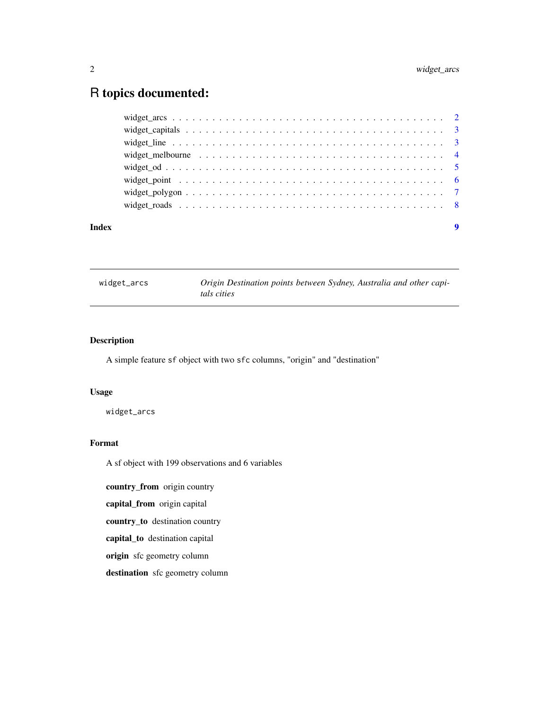## <span id="page-1-0"></span>R topics documented:

widget\_arcs *Origin Destination points between Sydney, Australia and other capitals cities*

### Description

A simple feature sf object with two sfc columns, "origin" and "destination"

#### Usage

widget\_arcs

#### Format

A sf object with 199 observations and 6 variables

country\_from origin country

capital\_from origin capital

country\_to destination country

capital\_to destination capital

origin sfc geometry column

destination sfc geometry column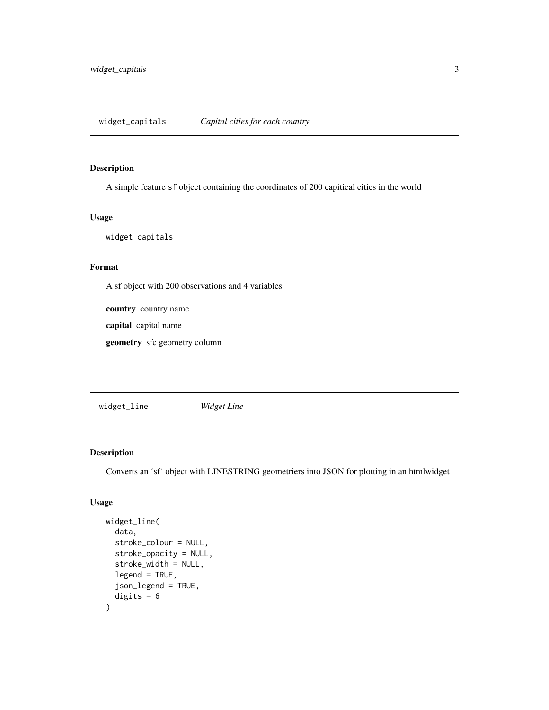#### <span id="page-2-0"></span>Description

A simple feature sf object containing the coordinates of 200 capitical cities in the world

#### Usage

widget\_capitals

#### Format

A sf object with 200 observations and 4 variables

country country name

capital capital name

geometry sfc geometry column

widget\_line *Widget Line*

#### Description

Converts an 'sf' object with LINESTRING geometriers into JSON for plotting in an htmlwidget

#### Usage

```
widget_line(
 data,
 stroke_colour = NULL,
 stroke_opacity = NULL,
 stroke_width = NULL,
 legend = TRUE,
 json_legend = TRUE,
 digits = 6\mathcal{E}
```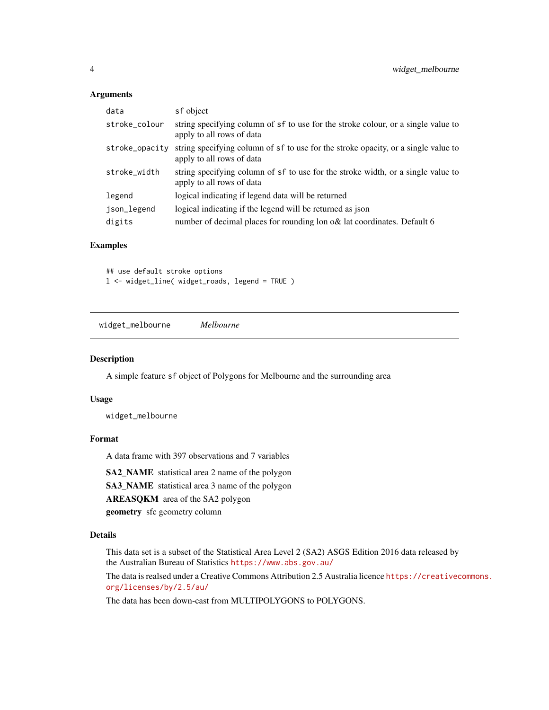#### <span id="page-3-0"></span>Arguments

| data           | sf object                                                                                                       |
|----------------|-----------------------------------------------------------------------------------------------------------------|
| stroke_colour  | string specifying column of sf to use for the stroke colour, or a single value to<br>apply to all rows of data  |
| stroke_opacity | string specifying column of sf to use for the stroke opacity, or a single value to<br>apply to all rows of data |
| stroke_width   | string specifying column of sf to use for the stroke width, or a single value to<br>apply to all rows of data   |
| legend         | logical indicating if legend data will be returned                                                              |
| json_legend    | logical indicating if the legend will be returned as json                                                       |
| digits         | number of decimal places for rounding lon o& lat coordinates. Default 6                                         |

#### Examples

## use default stroke options l <- widget\_line( widget\_roads, legend = TRUE )

widget\_melbourne *Melbourne*

#### Description

A simple feature sf object of Polygons for Melbourne and the surrounding area

#### Usage

widget\_melbourne

#### Format

A data frame with 397 observations and 7 variables

SA2\_NAME statistical area 2 name of the polygon

SA3\_NAME statistical area 3 name of the polygon

AREASQKM area of the SA2 polygon

geometry sfc geometry column

#### Details

This data set is a subset of the Statistical Area Level 2 (SA2) ASGS Edition 2016 data released by the Australian Bureau of Statistics <https://www.abs.gov.au/>

The data is realsed under a Creative Commons Attribution 2.5 Australia licence [https://creativec](https://creativecommons.org/licenses/by/2.5/au/)ommons. [org/licenses/by/2.5/au/](https://creativecommons.org/licenses/by/2.5/au/)

The data has been down-cast from MULTIPOLYGONS to POLYGONS.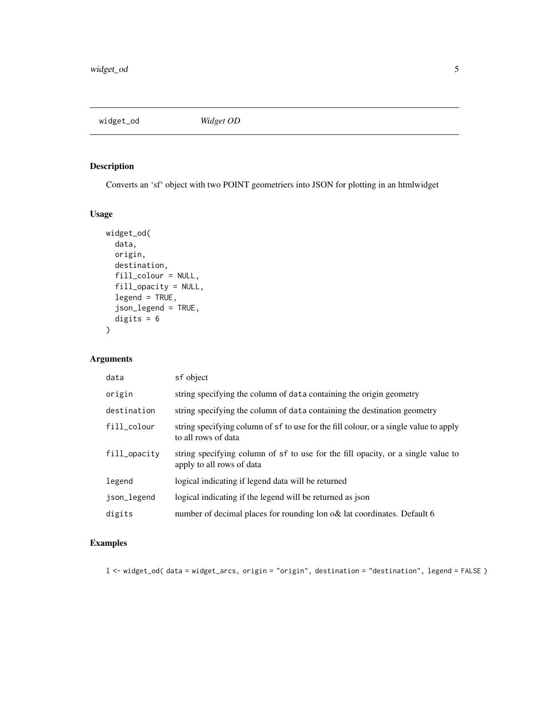<span id="page-4-0"></span>widget\_od *Widget OD*

#### Description

Converts an 'sf' object with two POINT geometriers into JSON for plotting in an htmlwidget

#### Usage

```
widget_od(
data,
origin,
destination,
fill_colour = NULL,
fill_opacity = NULL,
legend = TRUE,json_legend = TRUE,
digits = 6)
```
#### Arguments

| data         | sf object                                                                                                     |
|--------------|---------------------------------------------------------------------------------------------------------------|
| origin       | string specifying the column of data containing the origin geometry                                           |
| destination  | string specifying the column of data containing the destination geometry                                      |
| fill_colour  | string specifying column of sf to use for the fill colour, or a single value to apply<br>to all rows of data  |
| fill_opacity | string specifying column of sf to use for the fill opacity, or a single value to<br>apply to all rows of data |
| legend       | logical indicating if legend data will be returned                                                            |
| json_legend  | logical indicating if the legend will be returned as json                                                     |
| digits       | number of decimal places for rounding lon o& lat coordinates. Default 6                                       |

### Examples

l <- widget\_od( data = widget\_arcs, origin = "origin", destination = "destination", legend = FALSE )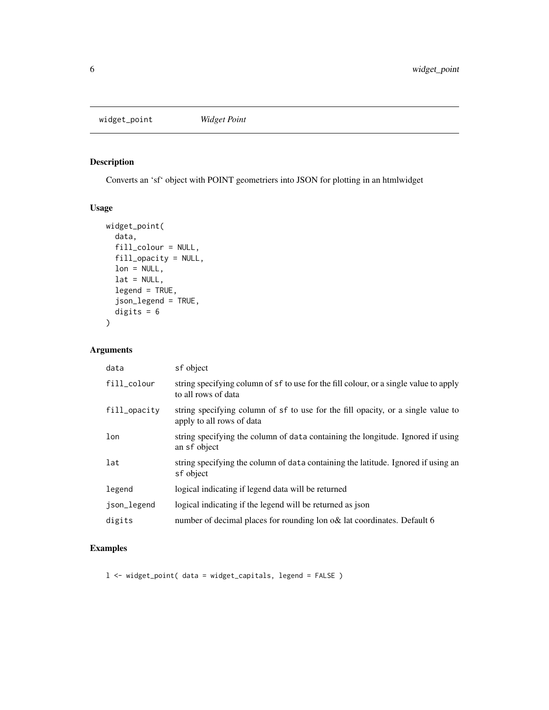<span id="page-5-0"></span>widget\_point *Widget Point*

#### Description

Converts an 'sf' object with POINT geometriers into JSON for plotting in an htmlwidget

#### Usage

```
widget_point(
 data,
 fill_colour = NULL,
fill_opacity = NULL,
lon = NULL,lat = NULL,legend = TRUE,
 json_legend = TRUE,
digits = 6)
```
#### Arguments

| data         | sf object                                                                                                     |
|--------------|---------------------------------------------------------------------------------------------------------------|
| fill_colour  | string specifying column of sf to use for the fill colour, or a single value to apply<br>to all rows of data  |
| fill_opacity | string specifying column of sf to use for the fill opacity, or a single value to<br>apply to all rows of data |
| lon          | string specifying the column of data containing the longitude. Ignored if using<br>an sf object               |
| lat          | string specifying the column of data containing the latitude. Ignored if using an<br>sf object                |
| legend       | logical indicating if legend data will be returned                                                            |
| json_legend  | logical indicating if the legend will be returned as ison                                                     |
| digits       | number of decimal places for rounding lon o& lat coordinates. Default 6                                       |

#### Examples

l <- widget\_point( data = widget\_capitals, legend = FALSE )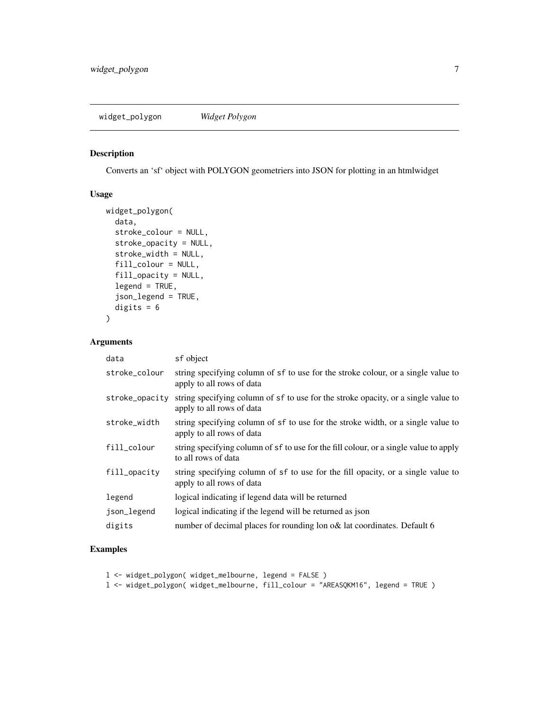<span id="page-6-0"></span>widget\_polygon *Widget Polygon*

#### Description

Converts an 'sf' object with POLYGON geometriers into JSON for plotting in an htmlwidget

#### Usage

```
widget_polygon(
 data,
 stroke_colour = NULL,
 stroke_opacity = NULL,
 stroke_width = NULL,
 fill_colour = NULL,
 fill_opacity = NULL,
 legend = TRUE,json_legend = TRUE,
digits = 6)
```
#### Arguments

| data           | sf object                                                                                                       |
|----------------|-----------------------------------------------------------------------------------------------------------------|
| stroke_colour  | string specifying column of sf to use for the stroke colour, or a single value to<br>apply to all rows of data  |
| stroke_opacity | string specifying column of sf to use for the stroke opacity, or a single value to<br>apply to all rows of data |
| stroke_width   | string specifying column of sf to use for the stroke width, or a single value to<br>apply to all rows of data   |
| fill_colour    | string specifying column of sf to use for the fill colour, or a single value to apply<br>to all rows of data    |
| fill_opacity   | string specifying column of sf to use for the fill opacity, or a single value to<br>apply to all rows of data   |
| legend         | logical indicating if legend data will be returned                                                              |
| json_legend    | logical indicating if the legend will be returned as json                                                       |
| digits         | number of decimal places for rounding lon o& lat coordinates. Default 6                                         |

#### Examples

l <- widget\_polygon( widget\_melbourne, legend = FALSE )

l <- widget\_polygon( widget\_melbourne, fill\_colour = "AREASQKM16", legend = TRUE )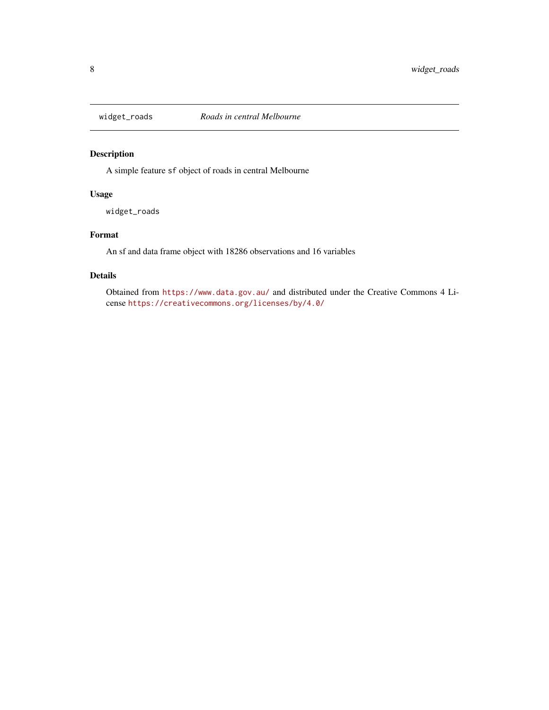<span id="page-7-0"></span>

#### Description

A simple feature sf object of roads in central Melbourne

#### Usage

widget\_roads

#### Format

An sf and data frame object with 18286 observations and 16 variables

#### Details

Obtained from <https://www.data.gov.au/> and distributed under the Creative Commons 4 License <https://creativecommons.org/licenses/by/4.0/>